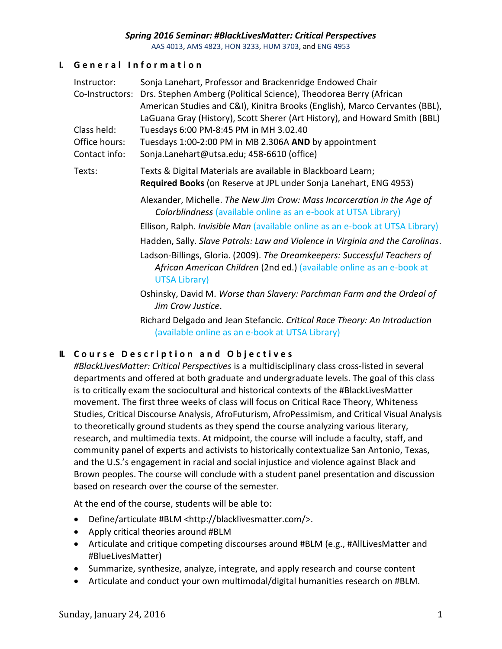AAS 4013, AMS 4823, HON 3233, HUM 3703, and ENG 4953

# **I. G e n e r a l I n f o r m a t i o n**

| Instructor:                                   | Sonja Lanehart, Professor and Brackenridge Endowed Chair                                                                                                                                                                    |  |  |  |
|-----------------------------------------------|-----------------------------------------------------------------------------------------------------------------------------------------------------------------------------------------------------------------------------|--|--|--|
| Co-Instructors:                               | Drs. Stephen Amberg (Political Science), Theodorea Berry (African<br>American Studies and C&I), Kinitra Brooks (English), Marco Cervantes (BBL),                                                                            |  |  |  |
| Class held:<br>Office hours:<br>Contact info: | LaGuana Gray (History), Scott Sherer (Art History), and Howard Smith (BBL)<br>Tuesdays 6:00 PM-8:45 PM in MH 3.02.40<br>Tuesdays 1:00-2:00 PM in MB 2.306A AND by appointment<br>Sonja.Lanehart@utsa.edu; 458-6610 (office) |  |  |  |
| Texts:                                        | Texts & Digital Materials are available in Blackboard Learn;<br>Required Books (on Reserve at JPL under Sonja Lanehart, ENG 4953)                                                                                           |  |  |  |
|                                               | Alexander, Michelle. The New Jim Crow: Mass Incarceration in the Age of<br>Colorblindness (available online as an e-book at UTSA Library)                                                                                   |  |  |  |
|                                               | Ellison, Ralph. <i>Invisible Man</i> (available online as an e-book at UTSA Library)                                                                                                                                        |  |  |  |
|                                               | Hadden, Sally. Slave Patrols: Law and Violence in Virginia and the Carolinas.                                                                                                                                               |  |  |  |
|                                               | Ladson-Billings, Gloria. (2009). The Dreamkeepers: Successful Teachers of<br>African American Children (2nd ed.) (available online as an e-book at<br><b>UTSA Library)</b>                                                  |  |  |  |
|                                               | Oshinsky, David M. Worse than Slavery: Parchman Farm and the Ordeal of<br>Jim Crow Justice.                                                                                                                                 |  |  |  |
|                                               | Richard Delgado and Jean Stefancic. Critical Race Theory: An Introduction                                                                                                                                                   |  |  |  |

(available online as an e-book at UTSA Library)

# **II.** Course Description and Objectives

*#BlackLivesMatter: Critical Perspectives* is a multidisciplinary class cross-listed in several departments and offered at both graduate and undergraduate levels. The goal of this class is to critically exam the sociocultural and historical contexts of the #BlackLivesMatter movement. The first three weeks of class will focus on Critical Race Theory, Whiteness Studies, Critical Discourse Analysis, AfroFuturism, AfroPessimism, and Critical Visual Analysis to theoretically ground students as they spend the course analyzing various literary, research, and multimedia texts. At midpoint, the course will include a faculty, staff, and community panel of experts and activists to historically contextualize San Antonio, Texas, and the U.S.'s engagement in racial and social injustice and violence against Black and Brown peoples. The course will conclude with a student panel presentation and discussion based on research over the course of the semester.

At the end of the course, students will be able to:

- Define/articulate #BLM <http://blacklivesmatter.com/>.
- Apply critical theories around #BLM
- Articulate and critique competing discourses around #BLM (e.g., #AllLivesMatter and #BlueLivesMatter)
- Summarize, synthesize, analyze, integrate, and apply research and course content
- Articulate and conduct your own multimodal/digital humanities research on #BLM.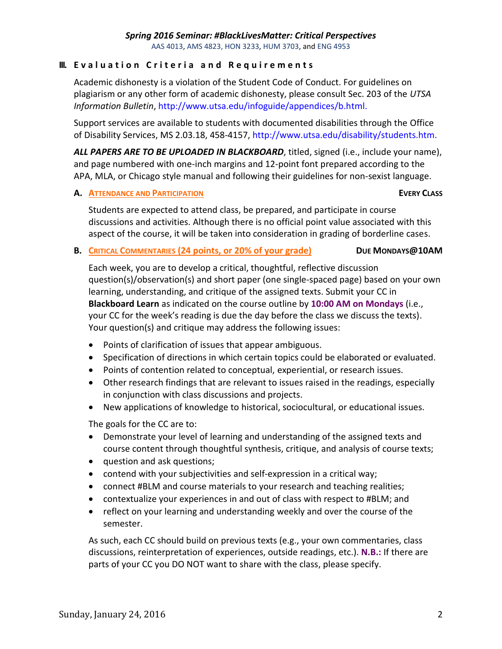## **III.** Evaluation Criteria and Requirements

Academic dishonesty is a violation of the Student Code of Conduct. For guidelines on plagiarism or any other form of academic dishonesty, please consult Sec. 203 of the *UTSA Information Bulletin*, http://www.utsa.edu/infoguide/appendices/b.html.

Support services are available to students with documented disabilities through the Office of Disability Services, MS 2.03.18, 458-4157, http://www.utsa.edu/disability/students.htm.

*ALL PAPERS ARE TO BE UPLOADED IN BLACKBOARD*, titled, signed (i.e., include your name), and page numbered with one-inch margins and 12-point font prepared according to the APA, MLA, or Chicago style manual and following their guidelines for non-sexist language.

## **A. ATTENDANCE AND PARTICIPATION EVERY CLASS**

Students are expected to attend class, be prepared, and participate in course discussions and activities. Although there is no official point value associated with this aspect of the course, it will be taken into consideration in grading of borderline cases.

# **B. CRITICAL COMMENTARIES (24 points, or 20% of your grade) DUE MONDAYS@10AM**

Each week, you are to develop a critical, thoughtful, reflective discussion question(s)/observation(s) and short paper (one single-spaced page) based on your own learning, understanding, and critique of the assigned texts. Submit your CC in **Blackboard Learn** as indicated on the course outline by **10:00 AM on Mondays** (i.e., your CC for the week's reading is due the day before the class we discuss the texts). Your question(s) and critique may address the following issues:

- Points of clarification of issues that appear ambiguous.
- Specification of directions in which certain topics could be elaborated or evaluated.
- Points of contention related to conceptual, experiential, or research issues.
- Other research findings that are relevant to issues raised in the readings, especially in conjunction with class discussions and projects.
- New applications of knowledge to historical, sociocultural, or educational issues.

The goals for the CC are to:

- Demonstrate your level of learning and understanding of the assigned texts and course content through thoughtful synthesis, critique, and analysis of course texts;
- question and ask questions;
- contend with your subjectivities and self-expression in a critical way;
- connect #BLM and course materials to your research and teaching realities;
- contextualize your experiences in and out of class with respect to #BLM; and
- reflect on your learning and understanding weekly and over the course of the semester.

As such, each CC should build on previous texts (e.g., your own commentaries, class discussions, reinterpretation of experiences, outside readings, etc.). **N.B.:** If there are parts of your CC you DO NOT want to share with the class, please specify.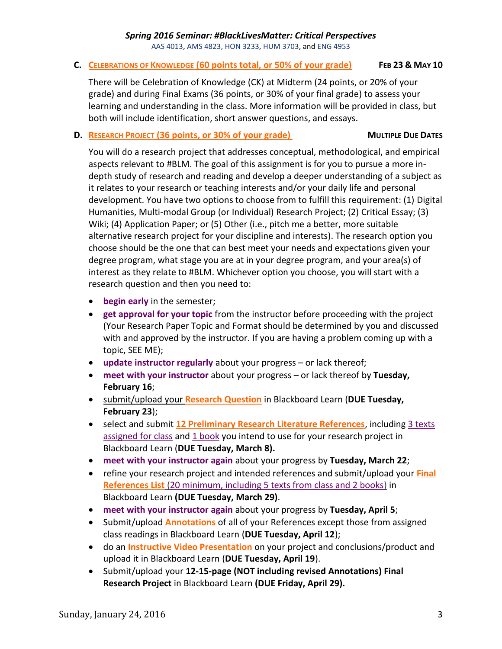AAS 4013, AMS 4823, HON 3233, HUM 3703, and ENG 4953

#### **C. CELEBRATIONS OF KNOWLEDGE (60 points total, or 50% of your grade) FEB 23 & MAY 10**

There will be Celebration of Knowledge (CK) at Midterm (24 points, or 20% of your grade) and during Final Exams (36 points, or 30% of your final grade) to assess your learning and understanding in the class. More information will be provided in class, but both will include identification, short answer questions, and essays.

## **D. RESEARCH PROJECT** (36 points, or 30% of your grade) MULTIPLE DUE DATES

You will do a research project that addresses conceptual, methodological, and empirical aspects relevant to #BLM. The goal of this assignment is for you to pursue a more indepth study of research and reading and develop a deeper understanding of a subject as it relates to your research or teaching interests and/or your daily life and personal development. You have two options to choose from to fulfill this requirement: (1) Digital Humanities, Multi-modal Group (or Individual) Research Project; (2) Critical Essay; (3) Wiki; (4) Application Paper; or (5) Other (i.e., pitch me a better, more suitable alternative research project for your discipline and interests). The research option you choose should be the one that can best meet your needs and expectations given your degree program, what stage you are at in your degree program, and your area(s) of interest as they relate to #BLM. Whichever option you choose, you will start with a research question and then you need to:

- **begin early** in the semester;
- **get approval for your topic** from the instructor before proceeding with the project (Your Research Paper Topic and Format should be determined by you and discussed with and approved by the instructor. If you are having a problem coming up with a topic, SEE ME);
- **update instructor regularly** about your progress or lack thereof;
- **meet with your instructor** about your progress or lack thereof by **Tuesday, February 16**;
- submit/upload your **Research Question** in Blackboard Learn (**DUE Tuesday, February 23**);
- select and submit **12 Preliminary Research Literature References**, including 3 texts assigned for class and 1 book you intend to use for your research project in Blackboard Learn (**DUE Tuesday, March 8).**
- **meet with your instructor again** about your progress by **Tuesday, March 22**;
- refine your research project and intended references and submit/upload your **Final References List** (20 minimum, including 5 texts from class and 2 books) in Blackboard Learn **(DUE Tuesday, March 29)**.
- **meet with your instructor again** about your progress by **Tuesday, April 5**;
- Submit/upload **Annotations** of all of your References except those from assigned class readings in Blackboard Learn (**DUE Tuesday, April 12**);
- do an **Instructive Video Presentation** on your project and conclusions/product and upload it in Blackboard Learn (**DUE Tuesday, April 19**).
- Submit/upload your **12-15-page (NOT including revised Annotations) Final Research Project** in Blackboard Learn **(DUE Friday, April 29).**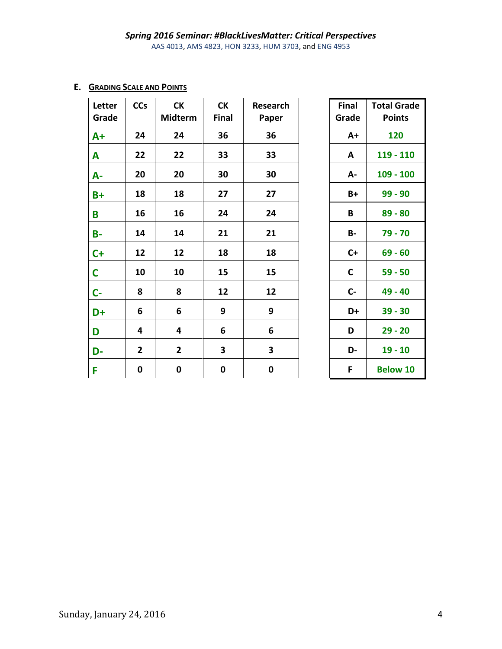### **E. GRADING SCALE AND POINTS**

| Letter<br>Grade | <b>CCs</b>     | <b>CK</b><br><b>Midterm</b> | <b>CK</b><br>Final | Research<br>Paper | Final<br>Grade | <b>Total Grade</b><br><b>Points</b> |
|-----------------|----------------|-----------------------------|--------------------|-------------------|----------------|-------------------------------------|
| $A+$            | 24             | 24                          | 36                 | 36                | $A+$           | 120                                 |
| A               | 22             | 22                          | 33                 | 33                | A              | 119 - 110                           |
| A-              | 20             | 20                          | 30                 | 30                | А-             | $109 - 100$                         |
| $B+$            | 18             | 18                          | 27                 | 27                | B+             | $99 - 90$                           |
| B               | 16             | 16                          | 24                 | 24                | B              | $89 - 80$                           |
| <b>B-</b>       | 14             | 14                          | 21                 | 21                | <b>B-</b>      | 79 - 70                             |
| $C+$            | 12             | 12                          | 18                 | 18                | $C+$           | $69 - 60$                           |
| $\mathsf{C}$    | 10             | 10                          | 15                 | 15                | $\mathbf C$    | $59 - 50$                           |
| $C -$           | 8              | 8                           | 12                 | 12                | $C -$          | 49 - 40                             |
| D+              | 6              | 6                           | 9                  | 9                 | D+             | $39 - 30$                           |
| D               | 4              | 4                           | 6                  | 6                 | D              | $29 - 20$                           |
| D-              | $\overline{2}$ | $\overline{2}$              | 3                  | 3                 | D-             | $19 - 10$                           |
| F               | 0              | $\pmb{0}$                   | 0                  | $\pmb{0}$         | F              | <b>Below 10</b>                     |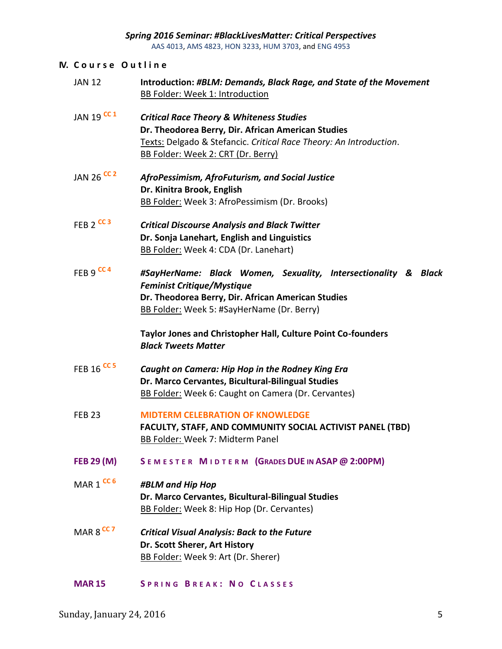#### **IV. C o u r s e O u t l i n e**

- JAN 12 **Introduction:** *#BLM: Demands, Black Rage, and State of the Movement* BB Folder: Week 1: Introduction
- JAN 19 **CC 1** *Critical Race Theory & Whiteness Studies* **Dr. Theodorea Berry, Dir. African American Studies** Texts: Delgado & Stefancic. *Critical Race Theory: An Introduction*. BB Folder: Week 2: CRT (Dr. Berry)
- JAN 26 **CC 2** *AfroPessimism, AfroFuturism, and Social Justice* **Dr. Kinitra Brook, English** BB Folder: Week 3: AfroPessimism (Dr. Brooks)
- FEB 2 **CC 3** *Critical Discourse Analysis and Black Twitter* **Dr. Sonja Lanehart, English and Linguistics** BB Folder: Week 4: CDA (Dr. Lanehart)
- FEB 9 **CC 4** *#SayHerName: Black Women, Sexuality, Intersectionality & Black Feminist Critique/Mystique* **Dr. Theodorea Berry, Dir. African American Studies** BB Folder: Week 5: #SayHerName (Dr. Berry)

**Taylor Jones and Christopher Hall, Culture Point Co-founders** *Black Tweets Matter*

- FEB 16 **CC 5** *Caught on Camera: Hip Hop in the Rodney King Era* **Dr. Marco Cervantes, Bicultural-Bilingual Studies** BB Folder: Week 6: Caught on Camera (Dr. Cervantes)
- FEB 23 **MIDTERM CELEBRATION OF KNOWLEDGE FACULTY, STAFF, AND COMMUNITY SOCIAL ACTIVIST PANEL (TBD)** BB Folder: Week 7: Midterm Panel
- **FEB 29 (M) S E M E S T E R M I D T E R M (GRADES DUE IN ASAP @ 2:00PM)**
- MAR 1 **CC 6** *#BLM and Hip Hop* **Dr. Marco Cervantes, Bicultural-Bilingual Studies** BB Folder: Week 8: Hip Hop (Dr. Cervantes)
- MAR 8 **CC 7** *Critical Visual Analysis: Back to the Future* **Dr. Scott Sherer, Art History** BB Folder: Week 9: Art (Dr. Sherer)
- **MAR 15 S P R I N G B R E A K : N O C L A S S E S**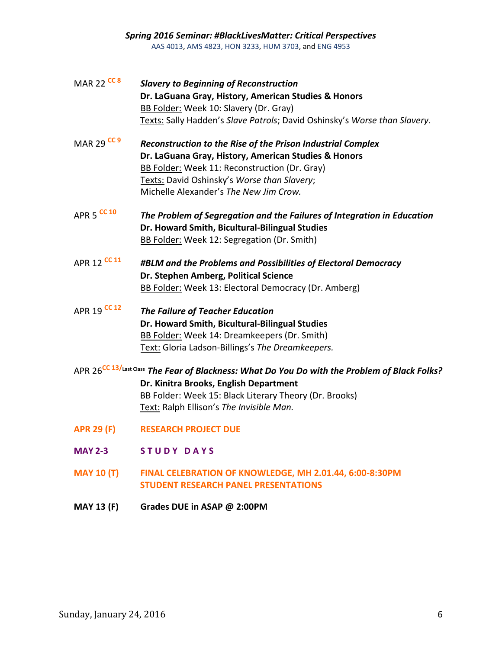- MAR 22 **CC 8** *Slavery to Beginning of Reconstruction* **Dr. LaGuana Gray, History, American Studies & Honors** BB Folder: Week 10: Slavery (Dr. Gray) Texts: Sally Hadden's *Slave Patrols*; David Oshinsky's *Worse than Slavery*.
- MAR 29 **CC 9** *Reconstruction to the Rise of the Prison Industrial Complex* **Dr. LaGuana Gray, History, American Studies & Honors** BB Folder: Week 11: Reconstruction (Dr. Gray) Texts: David Oshinsky's *Worse than Slavery*; Michelle Alexander's *The New Jim Crow.*
- APR 5 **CC 10** *The Problem of Segregation and the Failures of Integration in Education* **Dr. Howard Smith, Bicultural-Bilingual Studies** BB Folder: Week 12: Segregation (Dr. Smith)
- APR 12 **CC 11** *#BLM and the Problems and Possibilities of Electoral Democracy* **Dr. Stephen Amberg, Political Science** BB Folder: Week 13: Electoral Democracy (Dr. Amberg)
- APR 19 **CC 12** *The Failure of Teacher Education* **Dr. Howard Smith, Bicultural-Bilingual Studies** BB Folder: Week 14: Dreamkeepers (Dr. Smith) Text: Gloria Ladson-Billings's *The Dreamkeepers.*
- APR 26**CC 13/Last Class** *The Fear of Blackness: What Do You Do with the Problem of Black Folks?* **Dr. Kinitra Brooks, English Department** BB Folder: Week 15: Black Literary Theory (Dr. Brooks) Text: Ralph Ellison's *The Invisible Man.*
- **APR 29 (F) RESEARCH PROJECT DUE**
- **MAY 2-3 S T U D Y D A Y S**
- **MAY 10 (T) FINAL CELEBRATION OF KNOWLEDGE, MH 2.01.44, 6:00-8:30PM STUDENT RESEARCH PANEL PRESENTATIONS**
- **MAY 13 (F) Grades DUE in ASAP @ 2:00PM**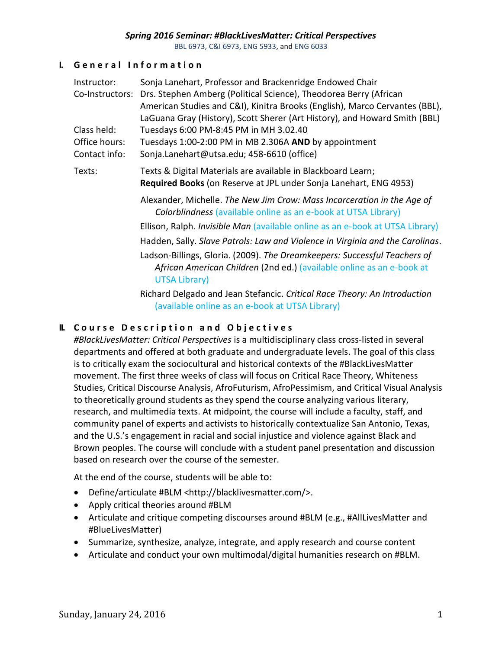BBL 6973, C&I 6973, ENG 5933, and ENG 6033

### **I. G e n e r a l I n f o r m a t i o n**

| Instructor:     | Sonja Lanehart, Professor and Brackenridge Endowed Chair                                                                                                                   |
|-----------------|----------------------------------------------------------------------------------------------------------------------------------------------------------------------------|
| Co-Instructors: | Drs. Stephen Amberg (Political Science), Theodorea Berry (African                                                                                                          |
|                 | American Studies and C&I), Kinitra Brooks (English), Marco Cervantes (BBL),                                                                                                |
|                 | LaGuana Gray (History), Scott Sherer (Art History), and Howard Smith (BBL)                                                                                                 |
| Class held:     | Tuesdays 6:00 PM-8:45 PM in MH 3.02.40                                                                                                                                     |
| Office hours:   | Tuesdays 1:00-2:00 PM in MB 2.306A AND by appointment                                                                                                                      |
| Contact info:   | Sonja.Lanehart@utsa.edu; 458-6610 (office)                                                                                                                                 |
| Texts:          | Texts & Digital Materials are available in Blackboard Learn;                                                                                                               |
|                 | Required Books (on Reserve at JPL under Sonja Lanehart, ENG 4953)                                                                                                          |
|                 | Alexander, Michelle. The New Jim Crow: Mass Incarceration in the Age of<br><b>Colorblindness</b> (available online as an e-book at UTSA Library)                           |
|                 | Ellison, Ralph. Invisible Man (available online as an e-book at UTSA Library)                                                                                              |
|                 | Hadden, Sally. Slave Patrols: Law and Violence in Virginia and the Carolinas.                                                                                              |
|                 | Ladson-Billings, Gloria. (2009). The Dreamkeepers: Successful Teachers of<br>African American Children (2nd ed.) (available online as an e-book at<br><b>UTSA Library)</b> |
|                 | Richard Delgado and Jean Stefancic. Critical Race Theory: An Introduction                                                                                                  |

(available online as an e-book at UTSA Library)

## **II.** Course Description and Objectives

*#BlackLivesMatter: Critical Perspectives* is a multidisciplinary class cross-listed in several departments and offered at both graduate and undergraduate levels. The goal of this class is to critically exam the sociocultural and historical contexts of the #BlackLivesMatter movement. The first three weeks of class will focus on Critical Race Theory, Whiteness Studies, Critical Discourse Analysis, AfroFuturism, AfroPessimism, and Critical Visual Analysis to theoretically ground students as they spend the course analyzing various literary, research, and multimedia texts. At midpoint, the course will include a faculty, staff, and community panel of experts and activists to historically contextualize San Antonio, Texas, and the U.S.'s engagement in racial and social injustice and violence against Black and Brown peoples. The course will conclude with a student panel presentation and discussion based on research over the course of the semester.

At the end of the course, students will be able to:

- Define/articulate #BLM <http://blacklivesmatter.com/>.
- Apply critical theories around #BLM
- Articulate and critique competing discourses around #BLM (e.g., #AllLivesMatter and #BlueLivesMatter)
- Summarize, synthesize, analyze, integrate, and apply research and course content
- Articulate and conduct your own multimodal/digital humanities research on #BLM.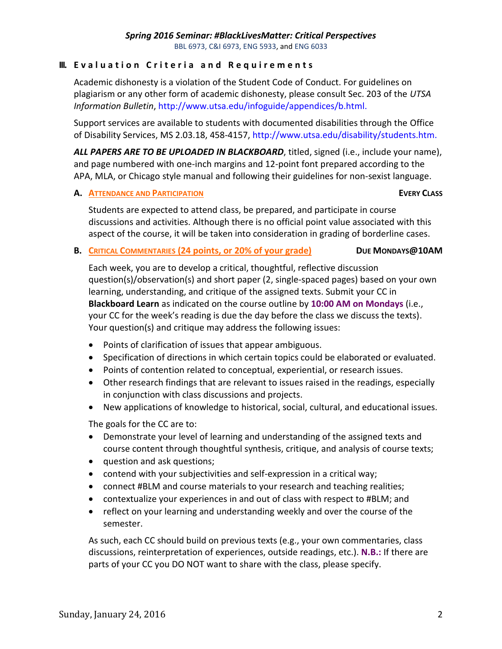## **III.** Evaluation Criteria and Requirements

Academic dishonesty is a violation of the Student Code of Conduct. For guidelines on plagiarism or any other form of academic dishonesty, please consult Sec. 203 of the *UTSA Information Bulletin*, http://www.utsa.edu/infoguide/appendices/b.html.

Support services are available to students with documented disabilities through the Office of Disability Services, MS 2.03.18, 458-4157, http://www.utsa.edu/disability/students.htm.

*ALL PAPERS ARE TO BE UPLOADED IN BLACKBOARD*, titled, signed (i.e., include your name), and page numbered with one-inch margins and 12-point font prepared according to the APA, MLA, or Chicago style manual and following their guidelines for non-sexist language.

#### **A. ATTENDANCE AND PARTICIPATION EVERY CLASS**

Students are expected to attend class, be prepared, and participate in course discussions and activities. Although there is no official point value associated with this aspect of the course, it will be taken into consideration in grading of borderline cases.

### **B. CRITICAL COMMENTARIES (24 points, or 20% of your grade) DUE MONDAYS@10AM**

Each week, you are to develop a critical, thoughtful, reflective discussion question(s)/observation(s) and short paper (2, single-spaced pages) based on your own learning, understanding, and critique of the assigned texts. Submit your CC in **Blackboard Learn** as indicated on the course outline by **10:00 AM on Mondays** (i.e., your CC for the week's reading is due the day before the class we discuss the texts). Your question(s) and critique may address the following issues:

- Points of clarification of issues that appear ambiguous.
- Specification of directions in which certain topics could be elaborated or evaluated.
- Points of contention related to conceptual, experiential, or research issues.
- Other research findings that are relevant to issues raised in the readings, especially in conjunction with class discussions and projects.
- New applications of knowledge to historical, social, cultural, and educational issues.

The goals for the CC are to:

- Demonstrate your level of learning and understanding of the assigned texts and course content through thoughtful synthesis, critique, and analysis of course texts;
- question and ask questions;
- contend with your subjectivities and self-expression in a critical way;
- connect #BLM and course materials to your research and teaching realities;
- contextualize your experiences in and out of class with respect to #BLM; and
- reflect on your learning and understanding weekly and over the course of the semester.

As such, each CC should build on previous texts (e.g., your own commentaries, class discussions, reinterpretation of experiences, outside readings, etc.). **N.B.:** If there are parts of your CC you DO NOT want to share with the class, please specify.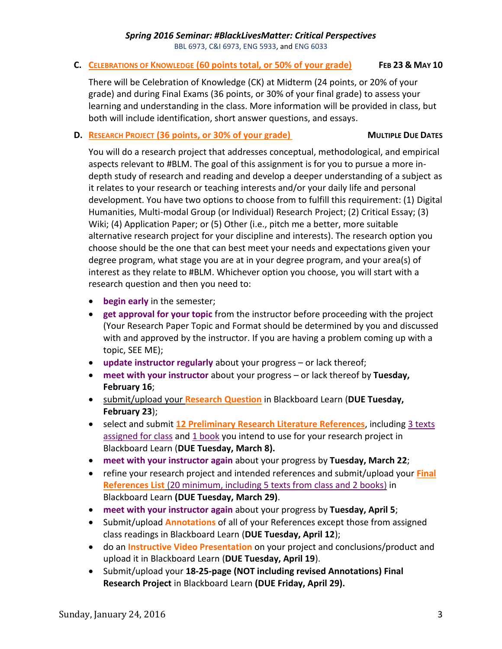### **C. CELEBRATIONS OF KNOWLEDGE (60 points total, or 50% of your grade) FEB 23 & MAY 10**

There will be Celebration of Knowledge (CK) at Midterm (24 points, or 20% of your grade) and during Final Exams (36 points, or 30% of your final grade) to assess your learning and understanding in the class. More information will be provided in class, but both will include identification, short answer questions, and essays.

### **D. RESEARCH PROJECT** (36 points, or 30% of your grade) MULTIPLE DUE DATES

You will do a research project that addresses conceptual, methodological, and empirical aspects relevant to #BLM. The goal of this assignment is for you to pursue a more indepth study of research and reading and develop a deeper understanding of a subject as it relates to your research or teaching interests and/or your daily life and personal development. You have two options to choose from to fulfill this requirement: (1) Digital Humanities, Multi-modal Group (or Individual) Research Project; (2) Critical Essay; (3) Wiki; (4) Application Paper; or (5) Other (i.e., pitch me a better, more suitable alternative research project for your discipline and interests). The research option you choose should be the one that can best meet your needs and expectations given your degree program, what stage you are at in your degree program, and your area(s) of interest as they relate to #BLM. Whichever option you choose, you will start with a research question and then you need to:

- **begin early** in the semester;
- **get approval for your topic** from the instructor before proceeding with the project (Your Research Paper Topic and Format should be determined by you and discussed with and approved by the instructor. If you are having a problem coming up with a topic, SEE ME);
- **update instructor regularly** about your progress or lack thereof;
- **meet with your instructor** about your progress or lack thereof by **Tuesday, February 16**;
- submit/upload your **Research Question** in Blackboard Learn (**DUE Tuesday, February 23**);
- select and submit **12 Preliminary Research Literature References**, including 3 texts assigned for class and 1 book you intend to use for your research project in Blackboard Learn (**DUE Tuesday, March 8).**
- **meet with your instructor again** about your progress by **Tuesday, March 22**;
- refine your research project and intended references and submit/upload your **Final References List** (20 minimum, including 5 texts from class and 2 books) in Blackboard Learn **(DUE Tuesday, March 29)**.
- **meet with your instructor again** about your progress by **Tuesday, April 5**;
- Submit/upload **Annotations** of all of your References except those from assigned class readings in Blackboard Learn (**DUE Tuesday, April 12**);
- do an **Instructive Video Presentation** on your project and conclusions/product and upload it in Blackboard Learn (**DUE Tuesday, April 19**).
- Submit/upload your **18-25-page (NOT including revised Annotations) Final Research Project** in Blackboard Learn **(DUE Friday, April 29).**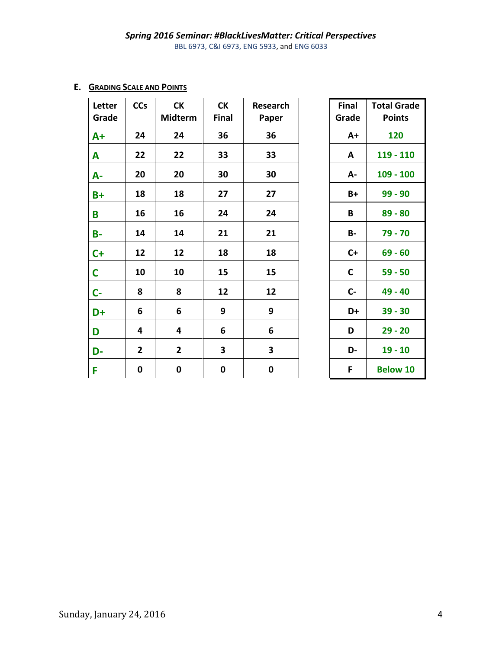# **E. GRADING SCALE AND POINTS**

| Letter<br>Grade | <b>CCs</b>     | <b>CK</b><br><b>Midterm</b> | <b>CK</b><br>Final | Research<br>Paper | Final<br>Grade | <b>Total Grade</b><br><b>Points</b> |
|-----------------|----------------|-----------------------------|--------------------|-------------------|----------------|-------------------------------------|
| $A+$            | 24             | 24                          | 36                 | 36                | $A+$           | 120                                 |
| A               | 22             | 22                          | 33                 | 33                | A              | 119 - 110                           |
| A-              | 20             | 20                          | 30                 | 30                | А-             | $109 - 100$                         |
| $B+$            | 18             | 18                          | 27                 | 27                | B+             | $99 - 90$                           |
| B               | 16             | 16                          | 24                 | 24                | B              | $89 - 80$                           |
| <b>B-</b>       | 14             | 14                          | 21                 | 21                | <b>B-</b>      | $79 - 70$                           |
| $C+$            | 12             | 12                          | 18                 | 18                | $C+$           | $69 - 60$                           |
| $\mathsf{C}$    | 10             | 10                          | 15                 | 15                | $\mathbf C$    | $59 - 50$                           |
| $C -$           | 8              | 8                           | 12                 | 12                | $C -$          | 49 - 40                             |
| D+              | 6              | 6                           | 9                  | 9                 | D+             | $39 - 30$                           |
| D               | 4              | 4                           | 6                  | 6                 | D              | $29 - 20$                           |
| D-              | $\overline{2}$ | $\overline{2}$              | 3                  | 3                 | D-             | $19 - 10$                           |
| F               | 0              | $\pmb{0}$                   | 0                  | $\pmb{0}$         | F              | <b>Below 10</b>                     |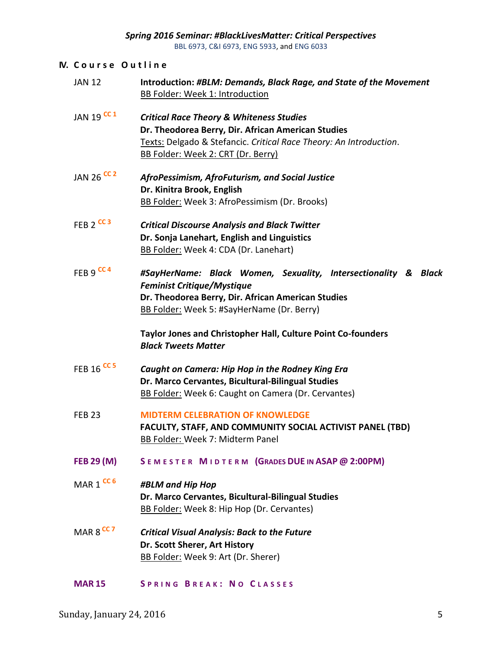#### **IV. C o u r s e O u t l i n e**

- JAN 12 **Introduction:** *#BLM: Demands, Black Rage, and State of the Movement* BB Folder: Week 1: Introduction
- JAN 19 **CC 1** *Critical Race Theory & Whiteness Studies* **Dr. Theodorea Berry, Dir. African American Studies** Texts: Delgado & Stefancic. *Critical Race Theory: An Introduction*. BB Folder: Week 2: CRT (Dr. Berry)
- JAN 26 **CC 2** *AfroPessimism, AfroFuturism, and Social Justice* **Dr. Kinitra Brook, English** BB Folder: Week 3: AfroPessimism (Dr. Brooks)
- FEB 2 **CC 3** *Critical Discourse Analysis and Black Twitter* **Dr. Sonja Lanehart, English and Linguistics** BB Folder: Week 4: CDA (Dr. Lanehart)
- FEB 9 **CC 4** *#SayHerName: Black Women, Sexuality, Intersectionality & Black Feminist Critique/Mystique* **Dr. Theodorea Berry, Dir. African American Studies** BB Folder: Week 5: #SayHerName (Dr. Berry)

**Taylor Jones and Christopher Hall, Culture Point Co-founders** *Black Tweets Matter*

- FEB 16 **CC 5** *Caught on Camera: Hip Hop in the Rodney King Era* **Dr. Marco Cervantes, Bicultural-Bilingual Studies** BB Folder: Week 6: Caught on Camera (Dr. Cervantes)
- FEB 23 **MIDTERM CELEBRATION OF KNOWLEDGE FACULTY, STAFF, AND COMMUNITY SOCIAL ACTIVIST PANEL (TBD)** BB Folder: Week 7: Midterm Panel
- **FEB 29 (M) S E M E S T E R M I D T E R M (GRADES DUE IN ASAP @ 2:00PM)**
- MAR 1 **CC 6** *#BLM and Hip Hop* **Dr. Marco Cervantes, Bicultural-Bilingual Studies** BB Folder: Week 8: Hip Hop (Dr. Cervantes)
- MAR 8 **CC 7** *Critical Visual Analysis: Back to the Future* **Dr. Scott Sherer, Art History** BB Folder: Week 9: Art (Dr. Sherer)
- **MAR 15 S P R I N G B R E A K : N O C L A S S E S**